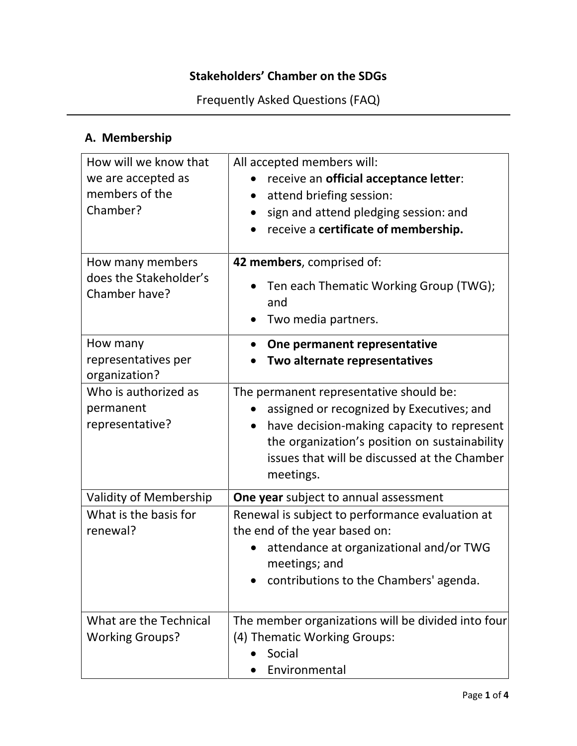### **Stakeholders' Chamber on the SDGs**

Frequently Asked Questions (FAQ)

### **A. Membership**

| How will we know that<br>we are accepted as<br>members of the<br>Chamber? | All accepted members will:<br>receive an official acceptance letter:<br>attend briefing session:<br>$\bullet$<br>sign and attend pledging session: and<br>$\bullet$<br>receive a certificate of membership.                                      |
|---------------------------------------------------------------------------|--------------------------------------------------------------------------------------------------------------------------------------------------------------------------------------------------------------------------------------------------|
| How many members<br>does the Stakeholder's<br>Chamber have?               | 42 members, comprised of:<br>Ten each Thematic Working Group (TWG);<br>and<br>Two media partners.                                                                                                                                                |
| How many<br>representatives per<br>organization?                          | One permanent representative<br>$\bullet$<br>Two alternate representatives                                                                                                                                                                       |
| Who is authorized as<br>permanent<br>representative?                      | The permanent representative should be:<br>assigned or recognized by Executives; and<br>have decision-making capacity to represent<br>the organization's position on sustainability<br>issues that will be discussed at the Chamber<br>meetings. |
| <b>Validity of Membership</b><br>What is the basis for<br>renewal?        | <b>One year</b> subject to annual assessment<br>Renewal is subject to performance evaluation at<br>the end of the year based on:<br>attendance at organizational and/or TWG<br>meetings; and<br>contributions to the Chambers' agenda.           |
| What are the Technical<br><b>Working Groups?</b>                          | The member organizations will be divided into four<br>(4) Thematic Working Groups:<br>Social<br>Environmental                                                                                                                                    |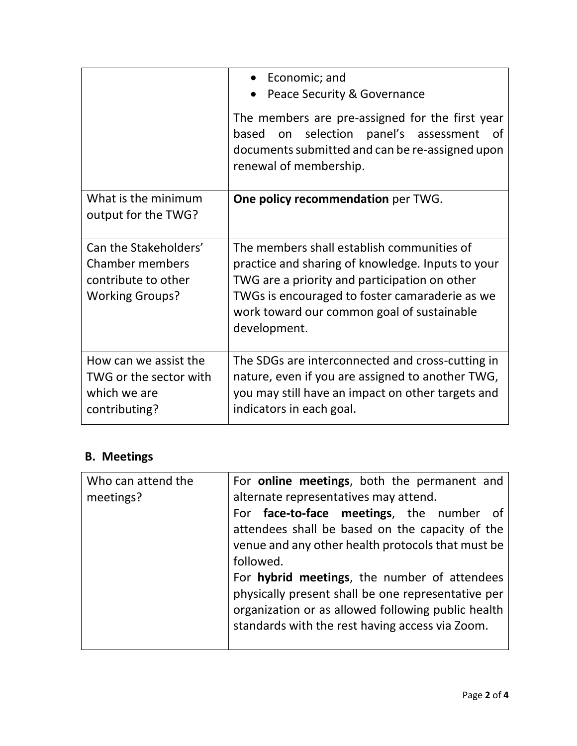|                                                                                                  | Economic; and<br>Peace Security & Governance<br>The members are pre-assigned for the first year<br>on selection panel's assessment<br>based<br>of<br>documents submitted and can be re-assigned upon<br>renewal of membership.                                   |
|--------------------------------------------------------------------------------------------------|------------------------------------------------------------------------------------------------------------------------------------------------------------------------------------------------------------------------------------------------------------------|
| What is the minimum<br>output for the TWG?                                                       | One policy recommendation per TWG.                                                                                                                                                                                                                               |
| Can the Stakeholders'<br><b>Chamber members</b><br>contribute to other<br><b>Working Groups?</b> | The members shall establish communities of<br>practice and sharing of knowledge. Inputs to your<br>TWG are a priority and participation on other<br>TWGs is encouraged to foster camaraderie as we<br>work toward our common goal of sustainable<br>development. |
| How can we assist the<br>TWG or the sector with<br>which we are<br>contributing?                 | The SDGs are interconnected and cross-cutting in<br>nature, even if you are assigned to another TWG,<br>you may still have an impact on other targets and<br>indicators in each goal.                                                                            |

### **B. Meetings**

| Who can attend the | For <b>online meetings</b> , both the permanent and |
|--------------------|-----------------------------------------------------|
| meetings?          | alternate representatives may attend.               |
|                    | For face-to-face meetings, the number<br>⊟ of       |
|                    | attendees shall be based on the capacity of the     |
|                    | venue and any other health protocols that must be   |
|                    | followed.                                           |
|                    | For hybrid meetings, the number of attendees        |
|                    | physically present shall be one representative per  |
|                    | organization or as allowed following public health  |
|                    | standards with the rest having access via Zoom.     |
|                    |                                                     |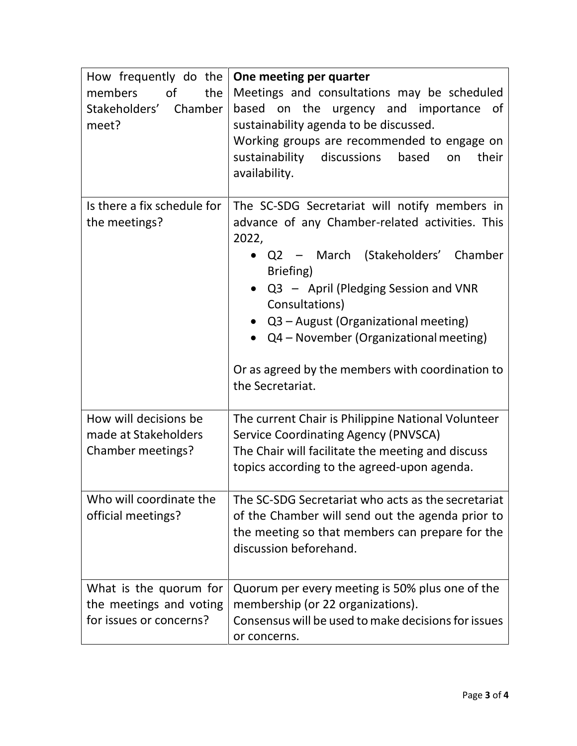| How frequently do the<br>of<br>the<br>members<br>Stakeholders' Chamber<br>meet? | One meeting per quarter<br>Meetings and consultations may be scheduled<br>based on the urgency and importance<br>of<br>sustainability agenda to be discussed.<br>Working groups are recommended to engage on<br>based<br>sustainability discussions<br>their<br>on<br>availability.                                                                                                   |
|---------------------------------------------------------------------------------|---------------------------------------------------------------------------------------------------------------------------------------------------------------------------------------------------------------------------------------------------------------------------------------------------------------------------------------------------------------------------------------|
| Is there a fix schedule for<br>the meetings?                                    | The SC-SDG Secretariat will notify members in<br>advance of any Chamber-related activities. This<br>2022,<br>• Q2 – March (Stakeholders' Chamber<br>Briefing)<br>$Q3 -$ April (Pledging Session and VNR<br>Consultations)<br>• Q3 - August (Organizational meeting)<br>Q4 – November (Organizational meeting)<br>Or as agreed by the members with coordination to<br>the Secretariat. |
| How will decisions be<br>made at Stakeholders<br>Chamber meetings?              | The current Chair is Philippine National Volunteer<br><b>Service Coordinating Agency (PNVSCA)</b><br>The Chair will facilitate the meeting and discuss<br>topics according to the agreed-upon agenda.                                                                                                                                                                                 |
| Who will coordinate the<br>official meetings?                                   | The SC-SDG Secretariat who acts as the secretariat<br>of the Chamber will send out the agenda prior to<br>the meeting so that members can prepare for the<br>discussion beforehand.                                                                                                                                                                                                   |
| What is the quorum for<br>the meetings and voting<br>for issues or concerns?    | Quorum per every meeting is 50% plus one of the<br>membership (or 22 organizations).<br>Consensus will be used to make decisions for issues<br>or concerns.                                                                                                                                                                                                                           |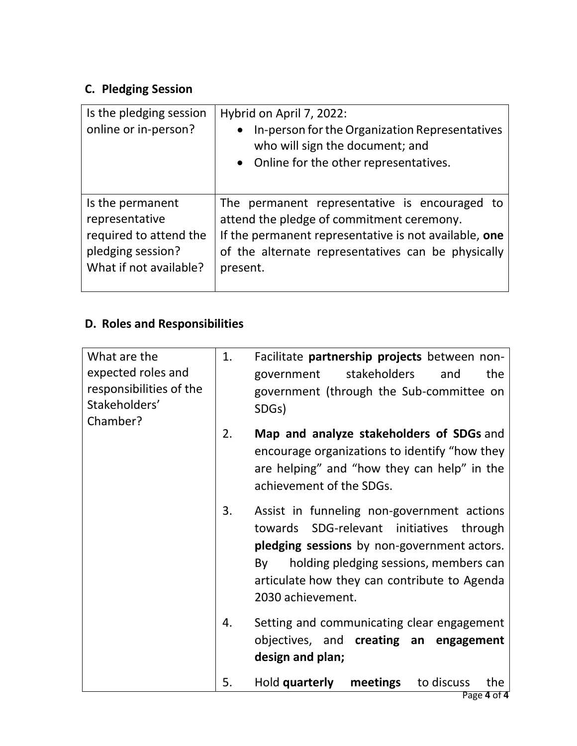# **C. Pledging Session**

| Is the pledging session<br>online or in-person? | Hybrid on April 7, 2022:<br>In-person for the Organization Representatives<br>$\bullet$<br>who will sign the document; and<br>• Online for the other representatives. |
|-------------------------------------------------|-----------------------------------------------------------------------------------------------------------------------------------------------------------------------|
| Is the permanent                                | The permanent representative is encouraged to                                                                                                                         |
| representative                                  | attend the pledge of commitment ceremony.                                                                                                                             |
| required to attend the                          | If the permanent representative is not available, one                                                                                                                 |
| pledging session?                               | of the alternate representatives can be physically                                                                                                                    |
| What if not available?                          | present.                                                                                                                                                              |

## **D. Roles and Responsibilities**

| What are the<br>expected roles and<br>responsibilities of the<br>Stakeholders'<br>Chamber? | 1. | Facilitate partnership projects between non-<br>stakeholders<br>the<br>and<br>government<br>government (through the Sub-committee on<br>SDG <sub>s</sub> )                                                                                                 |
|--------------------------------------------------------------------------------------------|----|------------------------------------------------------------------------------------------------------------------------------------------------------------------------------------------------------------------------------------------------------------|
|                                                                                            | 2. | Map and analyze stakeholders of SDGs and<br>encourage organizations to identify "how they<br>are helping" and "how they can help" in the<br>achievement of the SDGs.                                                                                       |
|                                                                                            | 3. | Assist in funneling non-government actions<br>towards SDG-relevant initiatives through<br>pledging sessions by non-government actors.<br>holding pledging sessions, members can<br>By<br>articulate how they can contribute to Agenda<br>2030 achievement. |
|                                                                                            | 4. | Setting and communicating clear engagement<br>objectives, and creating an engagement<br>design and plan;                                                                                                                                                   |
|                                                                                            | 5. | Hold quarterly meetings<br>to discuss<br>the                                                                                                                                                                                                               |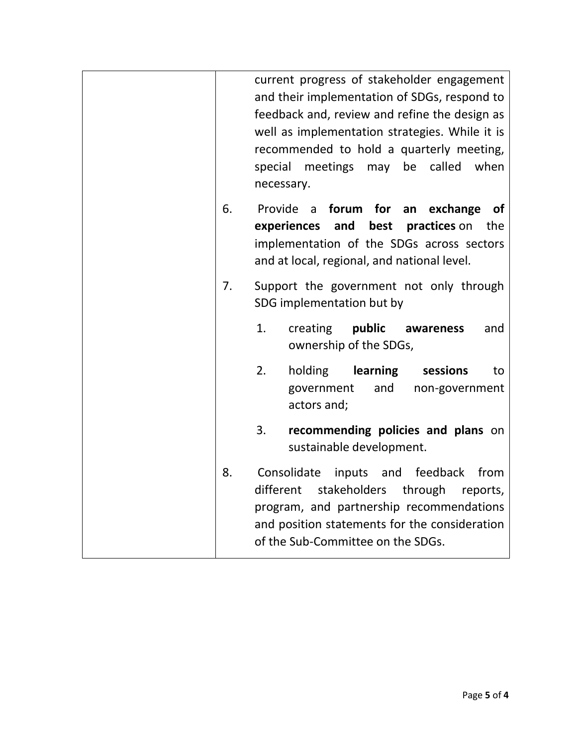|    | current progress of stakeholder engagement<br>and their implementation of SDGs, respond to<br>feedback and, review and refine the design as<br>well as implementation strategies. While it is<br>recommended to hold a quarterly meeting,<br>may be<br>special meetings<br>called<br>when<br>necessary. |
|----|---------------------------------------------------------------------------------------------------------------------------------------------------------------------------------------------------------------------------------------------------------------------------------------------------------|
| 6. | Provide a<br>forum for<br>an<br>exchange<br><b>of</b><br>experiences<br>and<br>best<br>practices on<br>the<br>implementation of the SDGs across sectors<br>and at local, regional, and national level.                                                                                                  |
| 7. | Support the government not only through<br>SDG implementation but by                                                                                                                                                                                                                                    |
|    | 1.<br>public<br>creating<br>and<br>awareness<br>ownership of the SDGs,                                                                                                                                                                                                                                  |
|    | 2.<br>holding<br>learning<br>sessions<br>to<br>government<br>and<br>non-government<br>actors and;                                                                                                                                                                                                       |
|    | 3.<br>recommending policies and plans on<br>sustainable development.                                                                                                                                                                                                                                    |
| 8. | Consolidate inputs and feedback<br>from<br>stakeholders through<br>different<br>reports,<br>program, and partnership recommendations<br>and position statements for the consideration<br>of the Sub-Committee on the SDGs.                                                                              |